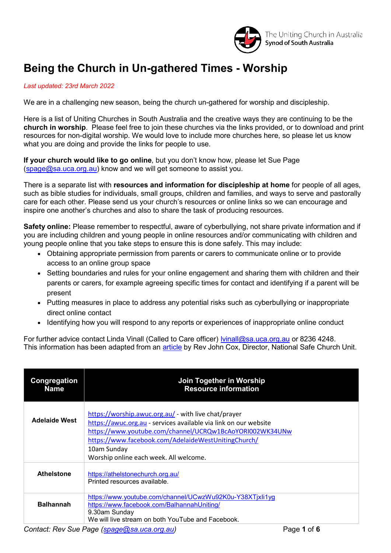

## **Being the Church in Un-gathered Times - Worship**

*Last updated: 23rd March 2022*

We are in a challenging new season, being the church un-gathered for worship and discipleship.

Here is a list of Uniting Churches in South Australia and the creative ways they are continuing to be the **church in worship**. Please feel free to join these churches via the links provided, or to download and print resources for non-digital worship. We would love to include more churches here, so please let us know what you are doing and provide the links for people to use.

**If your church would like to go online**, but you don't know how, please let Sue Page [\(spage@sa.uca.org.au\)](mailto:spage@sa.uca.org.au) know and we will get someone to assist you.

There is a separate list with **resources and information for discipleship at home** for people of all ages, such as bible studies for individuals, small groups, children and families, and ways to serve and pastorally care for each other. Please send us your church's resources or online links so we can encourage and inspire one another's churches and also to share the task of producing resources.

**Safety online:** Please remember to respectful, aware of cyberbullying, not share private information and if you are including children and young people in online resources and/or communicating with children and young people online that you take steps to ensure this is done safely. This may include:

- Obtaining appropriate permission from parents or carers to communicate online or to provide access to an online group space
- Setting boundaries and rules for your online engagement and sharing them with children and their parents or carers, for example agreeing specific times for contact and identifying if a parent will be present
- Putting measures in place to address any potential risks such as cyberbullying or inappropriate direct online contact
- Identifying how you will respond to any reports or experiences of inappropriate online conduct

For further advice contact Linda Vinall (Called to Care officer) Ivinall@sa.uca.org.au or 8236 4248. This information has been adapted from an **[article](https://assembly.uca.org.au/news/item/3161-being-a-safe-church-in-cyberspace)** by Rev John Cox, Director, National Safe Church Unit.

| Congregation<br><b>Name</b> | Join Together in Worship<br><b>Resource information</b>                                                                                                                                                                                                                                                                       |
|-----------------------------|-------------------------------------------------------------------------------------------------------------------------------------------------------------------------------------------------------------------------------------------------------------------------------------------------------------------------------|
| <b>Adelaide West</b>        | https://worship.awuc.org.au/ - with live chat/prayer<br>https://awuc.org.au - services available via link on our website<br>https://www.youtube.com/channel/UCRQw1BcAoYORI002WK34UNw<br>https://www.facebook.com/AdelaideWestUnitingChurch/<br>10am Sunday<br>Worship online each week. All welcome.                          |
| <b>Athelstone</b>           | https://athelstonechurch.org.au/<br>Printed resources available.                                                                                                                                                                                                                                                              |
| <b>Balhannah</b>            | https://www.youtube.com/channel/UCwzWu92K0u-Y38XTjxli1yg<br>https://www.facebook.com/BalhannahUniting/<br>9.30am Sunday<br>We will live stream on both YouTube and Facebook.<br>$\Omega$ and all $\Omega$ is $\Omega$ in $\Omega$ and $\Omega$ is a subset of $\Omega$ and $\Omega$ is a subset of $\Omega$<br>. . <i>.</i> . |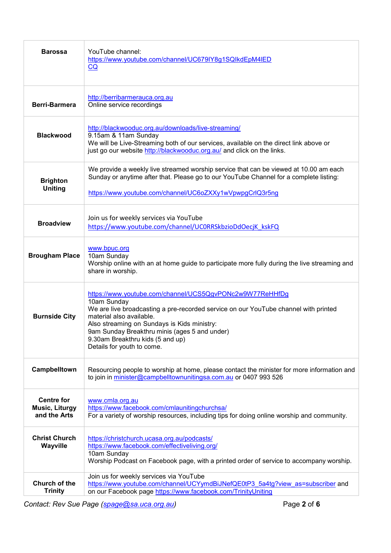| <b>Barossa</b>                                             | YouTube channel:<br>https://www.youtube.com/channel/UC679IY8g1SQIkdEpM4IED<br>CQ                                                                                                                                                                                                                                                                             |
|------------------------------------------------------------|--------------------------------------------------------------------------------------------------------------------------------------------------------------------------------------------------------------------------------------------------------------------------------------------------------------------------------------------------------------|
| <b>Berri-Barmera</b>                                       | http://berribarmerauca.org.au<br>Online service recordings                                                                                                                                                                                                                                                                                                   |
| <b>Blackwood</b>                                           | http://blackwooduc.org.au/downloads/live-streaming/<br>9.15am & 11am Sunday<br>We will be Live-Streaming both of our services, available on the direct link above or<br>just go our website http://blackwooduc.org.au/ and click on the links.                                                                                                               |
| <b>Brighton</b><br><b>Uniting</b>                          | We provide a weekly live streamed worship service that can be viewed at 10.00 am each<br>Sunday or anytime after that. Please go to our YouTube Channel for a complete listing:<br>https://www.youtube.com/channel/UC6oZXXy1wVpwpgCrlQ3r5ng                                                                                                                  |
| <b>Broadview</b>                                           | Join us for weekly services via YouTube<br>https://www.youtube.com/channel/UCORRSkbzioDdOecjK_kskFQ                                                                                                                                                                                                                                                          |
| <b>Brougham Place</b>                                      | www.bpuc.org<br>10am Sunday<br>Worship online with an at home guide to participate more fully during the live streaming and<br>share in worship.                                                                                                                                                                                                             |
| <b>Burnside City</b>                                       | https://www.youtube.com/channel/UCS5QgvPONc2w9W77ReHHfDg<br>10am Sunday<br>We are live broadcasting a pre-recorded service on our YouTube channel with printed<br>material also available.<br>Also streaming on Sundays is Kids ministry:<br>9am Sunday Breakthru minis (ages 5 and under)<br>9.30am Breakthru kids (5 and up)<br>Details for youth to come. |
| Campbelltown                                               | Resourcing people to worship at home, please contact the minister for more information and<br>to join in minister@campbelltownunitingsa.com.au or 0407 993 526                                                                                                                                                                                               |
| <b>Centre for</b><br><b>Music, Liturgy</b><br>and the Arts | www.cmla.org.au<br>https://www.facebook.com/cmlaunitingchurchsa/<br>For a variety of worship resources, including tips for doing online worship and community.                                                                                                                                                                                               |
| <b>Christ Church</b><br>Wayville                           | https://christchurch.ucasa.org.au/podcasts/<br>https://www.facebook.com/effectiveliving.org/<br>10am Sunday<br>Worship Podcast on Facebook page, with a printed order of service to accompany worship.                                                                                                                                                       |
| Church of the<br><b>Trinity</b>                            | Join us for weekly services via YouTube<br>https://www.youtube.com/channel/UCYymdBiJNefQE0tP3_5a4tg?view_as=subscriber and<br>on our Facebook page https://www.facebook.com/TrinityUniting                                                                                                                                                                   |

*Contact: Rev Sue Page (spage@sa.[uca.org.au\)](mailto:spage@uca.org.au)* Page **2** of **6**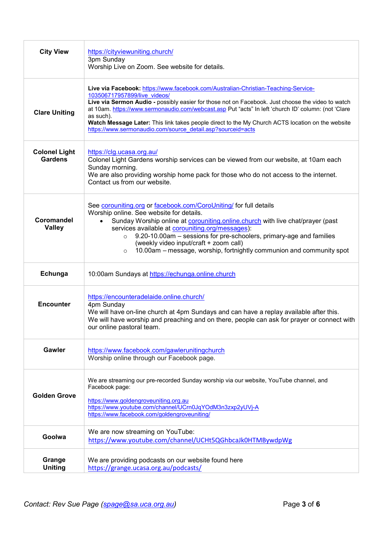| <b>City View</b>                       | https://cityviewuniting.church/<br>3pm Sunday<br>Worship Live on Zoom. See website for details.                                                                                                                                                                                                                                                                                                                                                                                                                |
|----------------------------------------|----------------------------------------------------------------------------------------------------------------------------------------------------------------------------------------------------------------------------------------------------------------------------------------------------------------------------------------------------------------------------------------------------------------------------------------------------------------------------------------------------------------|
| <b>Clare Uniting</b>                   | Live via Facebook: https://www.facebook.com/Australian-Christian-Teaching-Service-<br>103506717957899/live videos/<br>Live via Sermon Audio - possibly easier for those not on Facebook. Just choose the video to watch<br>at 10am. https://www.sermonaudio.com/webcast.asp Put "acts" In left 'church ID' column: (not 'Clare<br>as such).<br>Watch Message Later: This link takes people direct to the My Church ACTS location on the website<br>https://www.sermonaudio.com/source_detail.asp?sourceid=acts |
| <b>Colonel Light</b><br><b>Gardens</b> | https://clg.ucasa.org.au/<br>Colonel Light Gardens worship services can be viewed from our website, at 10am each<br>Sunday morning.<br>We are also providing worship home pack for those who do not access to the internet.<br>Contact us from our website.                                                                                                                                                                                                                                                    |
| Coromandel<br><b>Valley</b>            | See corouniting.org or facebook.com/CoroUniting/ for full details<br>Worship online. See website for details.<br>Sunday Worship online at <b>corouniting online church</b> with live chat/prayer (past<br>$\bullet$<br>services available at corouniting.org/messages):<br>9.20-10.00am - sessions for pre-schoolers, primary-age and families<br>$\circ$<br>(weekly video input/craft + zoom call)<br>10.00am – message, worship, fortnightly communion and community spot<br>$\circ$                         |
| Echunga                                | 10:00am Sundays at https://echunga.online.church                                                                                                                                                                                                                                                                                                                                                                                                                                                               |
| <b>Encounter</b>                       | https://encounteradelaide.online.church/<br>4pm Sunday<br>We will have on-line church at 4pm Sundays and can have a replay available after this.<br>We will have worship and preaching and on there, people can ask for prayer or connect with<br>our online pastoral team.                                                                                                                                                                                                                                    |
| Gawler                                 | https://www.facebook.com/gawlerunitingchurch<br>Worship online through our Facebook page.                                                                                                                                                                                                                                                                                                                                                                                                                      |
| <b>Golden Grove</b>                    | We are streaming our pre-recorded Sunday worship via our website, YouTube channel, and<br>Facebook page:<br>https://www.goldengroveuniting.org.au<br>https://www.youtube.com/channel/UCrn0JqYOdM3n3zxp2yUVj-A<br>https://www.facebook.com/goldengroveuniting/                                                                                                                                                                                                                                                  |
| Goolwa                                 | We are now streaming on YouTube:<br>https://www.youtube.com/channel/UCHt5QGhbcaJk0HTMBywdpWg                                                                                                                                                                                                                                                                                                                                                                                                                   |
| Grange<br><b>Uniting</b>               | We are providing podcasts on our website found here<br>https://grange.ucasa.org.au/podcasts/                                                                                                                                                                                                                                                                                                                                                                                                                   |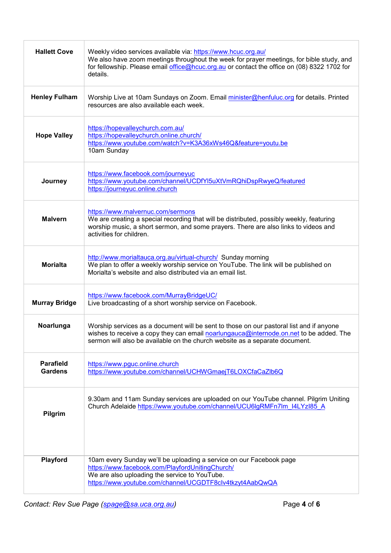| <b>Hallett Cove</b>                | Weekly video services available via: https://www.hcuc.org.au/<br>We also have zoom meetings throughout the week for prayer meetings, for bible study, and<br>for fellowship. Please email office@hcuc.org.au or contact the office on (08) 8322 1702 for<br>details. |
|------------------------------------|----------------------------------------------------------------------------------------------------------------------------------------------------------------------------------------------------------------------------------------------------------------------|
| <b>Henley Fulham</b>               | Worship Live at 10am Sundays on Zoom. Email minister@henfuluc.org for details. Printed<br>resources are also available each week.                                                                                                                                    |
| <b>Hope Valley</b>                 | https://hopevalleychurch.com.au/<br>https://hopevalleychurch.online.church/<br>https://www.youtube.com/watch?v=K3A36xWs46Q&feature=youtu.be<br>10am Sunday                                                                                                           |
| Journey                            | https://www.facebook.com/journeyuc<br>https://www.youtube.com/channel/UCDfYl5uXtVmRQhiDspRwyeQ/featured<br>https://journeyuc.online.church                                                                                                                           |
| <b>Malvern</b>                     | https://www.malvernuc.com/sermons<br>We are creating a special recording that will be distributed, possibly weekly, featuring<br>worship music, a short sermon, and some prayers. There are also links to videos and<br>activities for children.                     |
| <b>Morialta</b>                    | http://www.morialtauca.org.au/virtual-church/ Sunday morning<br>We plan to offer a weekly worship service on YouTube. The link will be published on<br>Morialta's website and also distributed via an email list.                                                    |
| <b>Murray Bridge</b>               | https://www.facebook.com/MurrayBridgeUC/<br>Live broadcasting of a short worship service on Facebook.                                                                                                                                                                |
| Noarlunga                          | Worship services as a document will be sent to those on our pastoral list and if anyone<br>wishes to receive a copy they can email noarlungauca@internode.on.net to be added. The<br>sermon will also be available on the church website as a separate document.     |
| <b>Parafield</b><br><b>Gardens</b> | https://www.pguc.online.church<br>https://www.youtube.com/channel/UCHWGmaejT6LOXCfaCaZlb6Q                                                                                                                                                                           |
| Pilgrim                            | 9.30am and 11am Sunday services are uploaded on our YouTube channel. Pilgrim Uniting<br>Church Adelaide https://www.youtube.com/channel/UCU6lgRMFn7lm_I4LYzI85_A                                                                                                     |
| Playford                           | 10am every Sunday we'll be uploading a service on our Facebook page<br>https://www.facebook.com/PlayfordUnitingChurch/<br>We are also uploading the service to YouTube.<br>https://www.youtube.com/channel/UCGDTF8clv4tkzyt4AabQwQA                                  |